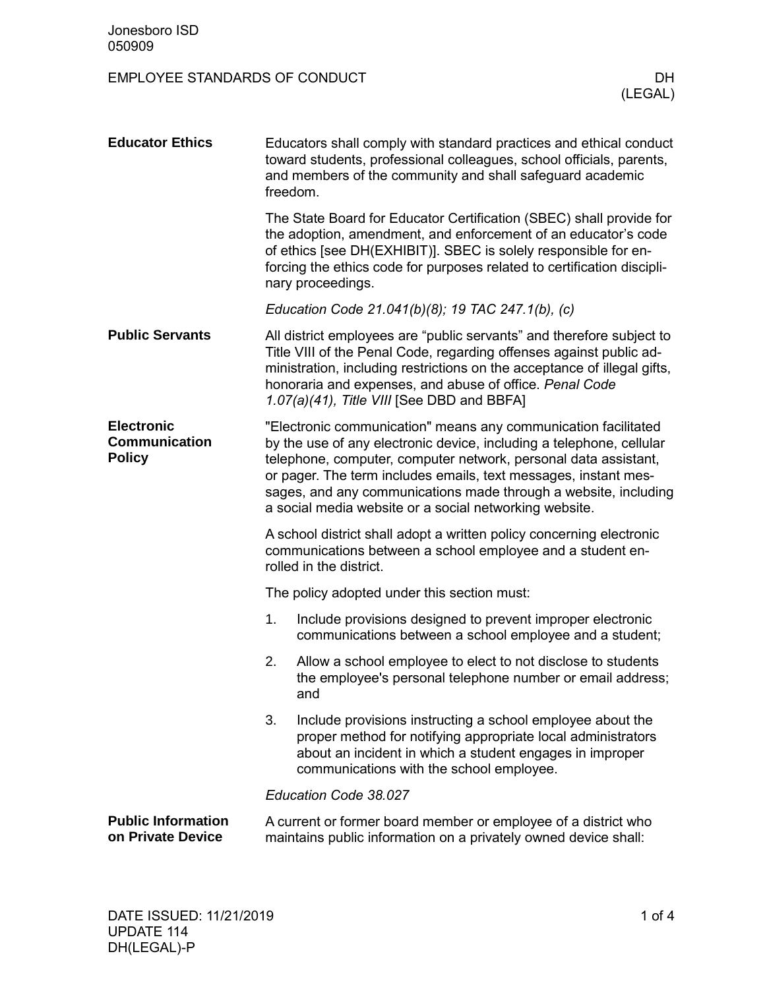| <b>Educator Ethics</b>                                     | Educators shall comply with standard practices and ethical conduct<br>toward students, professional colleagues, school officials, parents,<br>and members of the community and shall safeguard academic<br>freedom.                                                                                                                                                                                       |                                                                                                                                                                                                                                                                                                                                   |  |  |  |
|------------------------------------------------------------|-----------------------------------------------------------------------------------------------------------------------------------------------------------------------------------------------------------------------------------------------------------------------------------------------------------------------------------------------------------------------------------------------------------|-----------------------------------------------------------------------------------------------------------------------------------------------------------------------------------------------------------------------------------------------------------------------------------------------------------------------------------|--|--|--|
|                                                            |                                                                                                                                                                                                                                                                                                                                                                                                           | The State Board for Educator Certification (SBEC) shall provide for<br>the adoption, amendment, and enforcement of an educator's code<br>of ethics [see DH(EXHIBIT)]. SBEC is solely responsible for en-<br>forcing the ethics code for purposes related to certification discipli-<br>nary proceedings.                          |  |  |  |
|                                                            | Education Code 21.041(b)(8); 19 TAC 247.1(b), (c)                                                                                                                                                                                                                                                                                                                                                         |                                                                                                                                                                                                                                                                                                                                   |  |  |  |
| <b>Public Servants</b>                                     |                                                                                                                                                                                                                                                                                                                                                                                                           | All district employees are "public servants" and therefore subject to<br>Title VIII of the Penal Code, regarding offenses against public ad-<br>ministration, including restrictions on the acceptance of illegal gifts,<br>honoraria and expenses, and abuse of office. Penal Code<br>1.07(a)(41), Title VIII [See DBD and BBFA] |  |  |  |
| <b>Electronic</b><br><b>Communication</b><br><b>Policy</b> | "Electronic communication" means any communication facilitated<br>by the use of any electronic device, including a telephone, cellular<br>telephone, computer, computer network, personal data assistant,<br>or pager. The term includes emails, text messages, instant mes-<br>sages, and any communications made through a website, including<br>a social media website or a social networking website. |                                                                                                                                                                                                                                                                                                                                   |  |  |  |
|                                                            | A school district shall adopt a written policy concerning electronic<br>communications between a school employee and a student en-<br>rolled in the district.                                                                                                                                                                                                                                             |                                                                                                                                                                                                                                                                                                                                   |  |  |  |
|                                                            | The policy adopted under this section must:                                                                                                                                                                                                                                                                                                                                                               |                                                                                                                                                                                                                                                                                                                                   |  |  |  |
|                                                            | 1.                                                                                                                                                                                                                                                                                                                                                                                                        | Include provisions designed to prevent improper electronic<br>communications between a school employee and a student;                                                                                                                                                                                                             |  |  |  |
|                                                            | 2.                                                                                                                                                                                                                                                                                                                                                                                                        | Allow a school employee to elect to not disclose to students<br>the employee's personal telephone number or email address;<br>and                                                                                                                                                                                                 |  |  |  |
|                                                            | 3.                                                                                                                                                                                                                                                                                                                                                                                                        | Include provisions instructing a school employee about the<br>proper method for notifying appropriate local administrators<br>about an incident in which a student engages in improper<br>communications with the school employee.                                                                                                |  |  |  |
|                                                            | Education Code 38.027                                                                                                                                                                                                                                                                                                                                                                                     |                                                                                                                                                                                                                                                                                                                                   |  |  |  |
| <b>Public Information</b><br>on Private Device             | A current or former board member or employee of a district who<br>maintains public information on a privately owned device shall:                                                                                                                                                                                                                                                                         |                                                                                                                                                                                                                                                                                                                                   |  |  |  |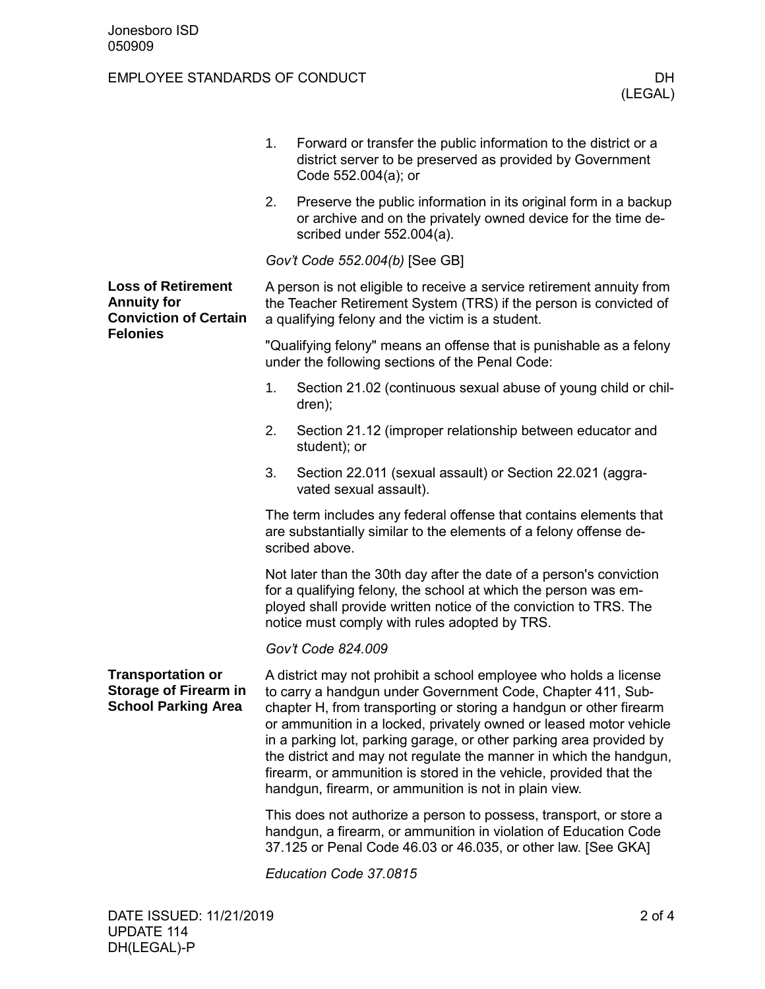|                                                                                                                                                                                              | 1.                                                                                                                                                                                                                                                                                                                                                                                                                                                                                                                                                       | Forward or transfer the public information to the district or a<br>district server to be preserved as provided by Government<br>Code 552.004(a); or            |  |  |  |
|----------------------------------------------------------------------------------------------------------------------------------------------------------------------------------------------|----------------------------------------------------------------------------------------------------------------------------------------------------------------------------------------------------------------------------------------------------------------------------------------------------------------------------------------------------------------------------------------------------------------------------------------------------------------------------------------------------------------------------------------------------------|----------------------------------------------------------------------------------------------------------------------------------------------------------------|--|--|--|
| <b>Loss of Retirement</b><br><b>Annuity for</b><br><b>Conviction of Certain</b><br><b>Felonies</b><br><b>Transportation or</b><br><b>Storage of Firearm in</b><br><b>School Parking Area</b> | 2.                                                                                                                                                                                                                                                                                                                                                                                                                                                                                                                                                       | Preserve the public information in its original form in a backup<br>or archive and on the privately owned device for the time de-<br>scribed under 552.004(a). |  |  |  |
|                                                                                                                                                                                              | Gov't Code 552.004(b) [See GB]                                                                                                                                                                                                                                                                                                                                                                                                                                                                                                                           |                                                                                                                                                                |  |  |  |
|                                                                                                                                                                                              | A person is not eligible to receive a service retirement annuity from<br>the Teacher Retirement System (TRS) if the person is convicted of<br>a qualifying felony and the victim is a student.                                                                                                                                                                                                                                                                                                                                                           |                                                                                                                                                                |  |  |  |
|                                                                                                                                                                                              | "Qualifying felony" means an offense that is punishable as a felony<br>under the following sections of the Penal Code:                                                                                                                                                                                                                                                                                                                                                                                                                                   |                                                                                                                                                                |  |  |  |
|                                                                                                                                                                                              | 1.                                                                                                                                                                                                                                                                                                                                                                                                                                                                                                                                                       | Section 21.02 (continuous sexual abuse of young child or chil-<br>dren);                                                                                       |  |  |  |
|                                                                                                                                                                                              | 2.                                                                                                                                                                                                                                                                                                                                                                                                                                                                                                                                                       | Section 21.12 (improper relationship between educator and<br>student); or                                                                                      |  |  |  |
|                                                                                                                                                                                              | 3.                                                                                                                                                                                                                                                                                                                                                                                                                                                                                                                                                       | Section 22.011 (sexual assault) or Section 22.021 (aggra-<br>vated sexual assault).                                                                            |  |  |  |
|                                                                                                                                                                                              | The term includes any federal offense that contains elements that<br>are substantially similar to the elements of a felony offense de-<br>scribed above.                                                                                                                                                                                                                                                                                                                                                                                                 |                                                                                                                                                                |  |  |  |
|                                                                                                                                                                                              | Not later than the 30th day after the date of a person's conviction<br>for a qualifying felony, the school at which the person was em-<br>ployed shall provide written notice of the conviction to TRS. The<br>notice must comply with rules adopted by TRS.                                                                                                                                                                                                                                                                                             |                                                                                                                                                                |  |  |  |
|                                                                                                                                                                                              | Gov't Code 824.009                                                                                                                                                                                                                                                                                                                                                                                                                                                                                                                                       |                                                                                                                                                                |  |  |  |
|                                                                                                                                                                                              | A district may not prohibit a school employee who holds a license<br>to carry a handgun under Government Code, Chapter 411, Sub-<br>chapter H, from transporting or storing a handgun or other firearm<br>or ammunition in a locked, privately owned or leased motor vehicle<br>in a parking lot, parking garage, or other parking area provided by<br>the district and may not regulate the manner in which the handgun,<br>firearm, or ammunition is stored in the vehicle, provided that the<br>handgun, firearm, or ammunition is not in plain view. |                                                                                                                                                                |  |  |  |
|                                                                                                                                                                                              | This does not authorize a person to possess, transport, or store a<br>handgun, a firearm, or ammunition in violation of Education Code<br>37.125 or Penal Code 46.03 or 46.035, or other law. [See GKA]                                                                                                                                                                                                                                                                                                                                                  |                                                                                                                                                                |  |  |  |
|                                                                                                                                                                                              | Education Code 37.0815                                                                                                                                                                                                                                                                                                                                                                                                                                                                                                                                   |                                                                                                                                                                |  |  |  |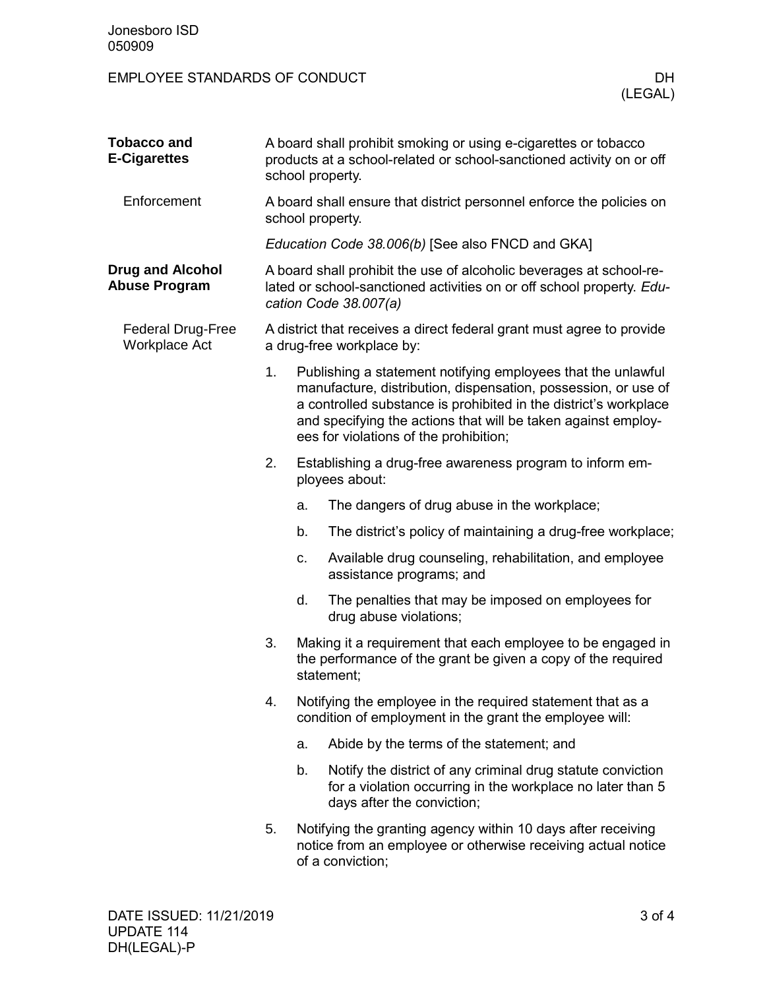| <b>Tobacco and</b><br><b>E-Cigarettes</b>        |                                                                                                                                                                       | A board shall prohibit smoking or using e-cigarettes or tobacco<br>products at a school-related or school-sanctioned activity on or off<br>school property. |                                                                                                                                                                                                                                                                                                               |  |  |  |
|--------------------------------------------------|-----------------------------------------------------------------------------------------------------------------------------------------------------------------------|-------------------------------------------------------------------------------------------------------------------------------------------------------------|---------------------------------------------------------------------------------------------------------------------------------------------------------------------------------------------------------------------------------------------------------------------------------------------------------------|--|--|--|
| Enforcement                                      | A board shall ensure that district personnel enforce the policies on<br>school property.                                                                              |                                                                                                                                                             |                                                                                                                                                                                                                                                                                                               |  |  |  |
|                                                  | Education Code 38.006(b) [See also FNCD and GKA]                                                                                                                      |                                                                                                                                                             |                                                                                                                                                                                                                                                                                                               |  |  |  |
| <b>Drug and Alcohol</b><br><b>Abuse Program</b>  | A board shall prohibit the use of alcoholic beverages at school-re-<br>lated or school-sanctioned activities on or off school property. Edu-<br>cation Code 38.007(a) |                                                                                                                                                             |                                                                                                                                                                                                                                                                                                               |  |  |  |
| <b>Federal Drug-Free</b><br><b>Workplace Act</b> | A district that receives a direct federal grant must agree to provide<br>a drug-free workplace by:                                                                    |                                                                                                                                                             |                                                                                                                                                                                                                                                                                                               |  |  |  |
|                                                  | 1.                                                                                                                                                                    |                                                                                                                                                             | Publishing a statement notifying employees that the unlawful<br>manufacture, distribution, dispensation, possession, or use of<br>a controlled substance is prohibited in the district's workplace<br>and specifying the actions that will be taken against employ-<br>ees for violations of the prohibition; |  |  |  |
|                                                  | 2.                                                                                                                                                                    | Establishing a drug-free awareness program to inform em-<br>ployees about:                                                                                  |                                                                                                                                                                                                                                                                                                               |  |  |  |
|                                                  |                                                                                                                                                                       | a.                                                                                                                                                          | The dangers of drug abuse in the workplace;                                                                                                                                                                                                                                                                   |  |  |  |
|                                                  |                                                                                                                                                                       | b.                                                                                                                                                          | The district's policy of maintaining a drug-free workplace;                                                                                                                                                                                                                                                   |  |  |  |
|                                                  |                                                                                                                                                                       | c.                                                                                                                                                          | Available drug counseling, rehabilitation, and employee<br>assistance programs; and                                                                                                                                                                                                                           |  |  |  |
|                                                  |                                                                                                                                                                       | d.                                                                                                                                                          | The penalties that may be imposed on employees for<br>drug abuse violations;                                                                                                                                                                                                                                  |  |  |  |
|                                                  | 3.                                                                                                                                                                    |                                                                                                                                                             | Making it a requirement that each employee to be engaged in<br>the performance of the grant be given a copy of the required<br>statement;                                                                                                                                                                     |  |  |  |
|                                                  | 4.                                                                                                                                                                    | Notifying the employee in the required statement that as a<br>condition of employment in the grant the employee will:                                       |                                                                                                                                                                                                                                                                                                               |  |  |  |
|                                                  |                                                                                                                                                                       | a.                                                                                                                                                          | Abide by the terms of the statement; and                                                                                                                                                                                                                                                                      |  |  |  |
|                                                  |                                                                                                                                                                       | b.                                                                                                                                                          | Notify the district of any criminal drug statute conviction<br>for a violation occurring in the workplace no later than 5<br>days after the conviction;                                                                                                                                                       |  |  |  |
|                                                  | 5.                                                                                                                                                                    |                                                                                                                                                             | Notifying the granting agency within 10 days after receiving<br>notice from an employee or otherwise receiving actual notice<br>of a conviction;                                                                                                                                                              |  |  |  |